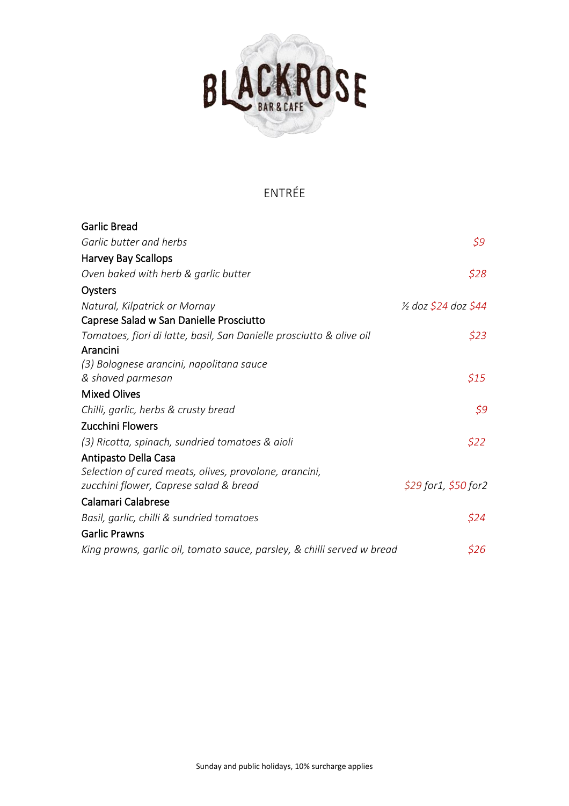

# ENTRÉE

| <b>Garlic Bread</b>                                                     |                                 |
|-------------------------------------------------------------------------|---------------------------------|
| Garlic butter and herbs                                                 | \$9                             |
| <b>Harvey Bay Scallops</b>                                              |                                 |
| Oven baked with herb & garlic butter                                    | \$28                            |
| Oysters                                                                 |                                 |
| Natural, Kilpatrick or Mornay                                           | $\frac{1}{2}$ doz \$24 doz \$44 |
| Caprese Salad w San Danielle Prosciutto                                 |                                 |
| Tomatoes, fiori di latte, basil, San Danielle prosciutto & olive oil    | \$23                            |
| Arancini                                                                |                                 |
| (3) Bolognese arancini, napolitana sauce                                |                                 |
| & shaved parmesan                                                       | \$15                            |
| <b>Mixed Olives</b>                                                     |                                 |
| Chilli, garlic, herbs & crusty bread                                    | \$9                             |
| Zucchini Flowers                                                        |                                 |
| (3) Ricotta, spinach, sundried tomatoes & aioli                         | \$22                            |
| Antipasto Della Casa                                                    |                                 |
| Selection of cured meats, olives, provolone, arancini,                  |                                 |
| zucchini flower, Caprese salad & bread                                  | \$29 for 1, \$50 for 2          |
| Calamari Calabrese                                                      |                                 |
| Basil, garlic, chilli & sundried tomatoes                               | \$24                            |
| <b>Garlic Prawns</b>                                                    |                                 |
| King prawns, garlic oil, tomato sauce, parsley, & chilli served w bread | \$26                            |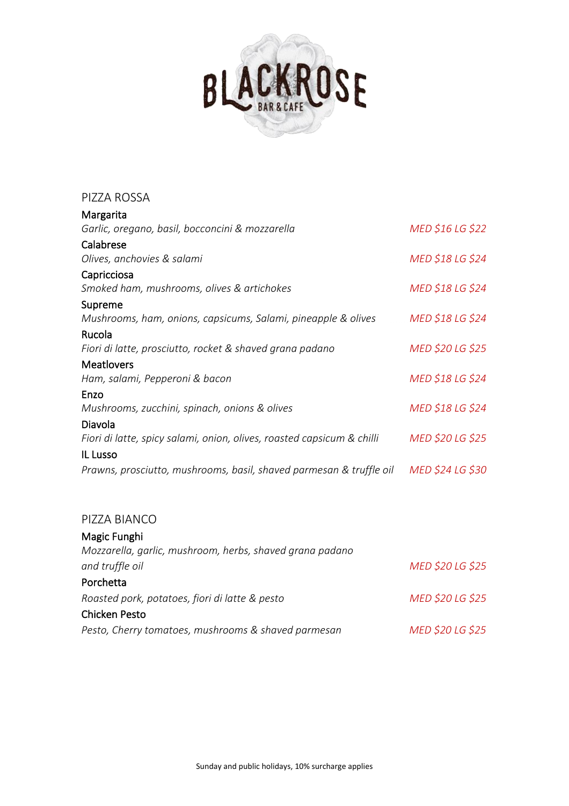

| PIZZA ROSSA                                                            |                  |
|------------------------------------------------------------------------|------------------|
| Margarita                                                              |                  |
| Garlic, oregano, basil, bocconcini & mozzarella                        | MED \$16 LG \$22 |
| Calabrese                                                              |                  |
| Olives, anchovies & salami                                             | MED \$18 LG \$24 |
| Capricciosa                                                            |                  |
| Smoked ham, mushrooms, olives & artichokes                             | MED \$18 LG \$24 |
| Supreme                                                                |                  |
| Mushrooms, ham, onions, capsicums, Salami, pineapple & olives          | MED \$18 LG \$24 |
| Rucola                                                                 |                  |
| Fiori di latte, prosciutto, rocket & shaved grana padano               | MED \$20 LG \$25 |
| <b>Meatlovers</b>                                                      |                  |
| Ham, salami, Pepperoni & bacon                                         | MED \$18 LG \$24 |
| Enzo                                                                   |                  |
| Mushrooms, zucchini, spinach, onions & olives                          | MED \$18 LG \$24 |
| Diavola                                                                |                  |
| Fiori di latte, spicy salami, onion, olives, roasted capsicum & chilli | MED \$20 LG \$25 |
| IL Lusso                                                               |                  |
| Prawns, prosciutto, mushrooms, basil, shaved parmesan & truffle oil    | MED \$24 LG \$30 |

### PIZZA BIANCO

| Magic Funghi                                             |                  |
|----------------------------------------------------------|------------------|
| Mozzarella, garlic, mushroom, herbs, shaved grana padano |                  |
| and truffle oil                                          | MED \$20 LG \$25 |
| Porchetta                                                |                  |
| Roasted pork, potatoes, fiori di latte & pesto           | MED \$20 LG \$25 |
| <b>Chicken Pesto</b>                                     |                  |
| Pesto, Cherry tomatoes, mushrooms & shaved parmesan      | MED \$20 LG \$25 |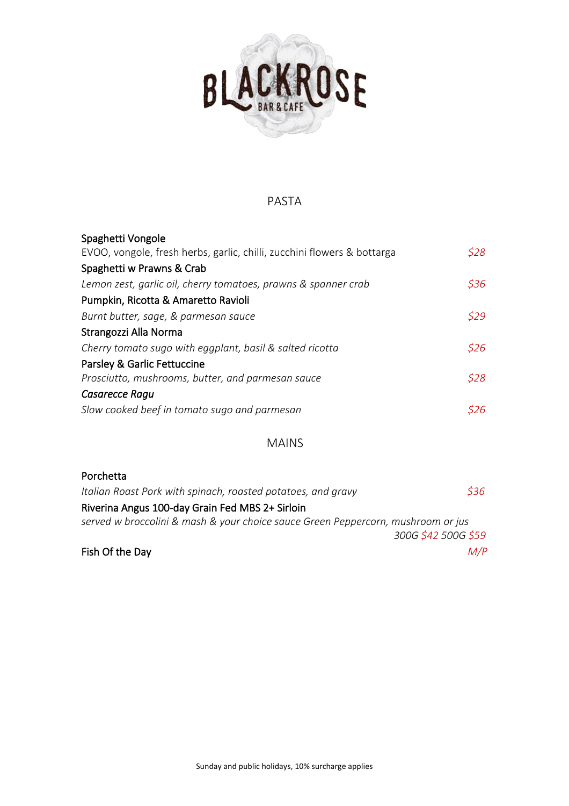

### PASTA

| Spaghetti Vongole                                                       |       |
|-------------------------------------------------------------------------|-------|
| EVOO, vongole, fresh herbs, garlic, chilli, zucchini flowers & bottarga | \$28  |
| Spaghetti w Prawns & Crab                                               |       |
| Lemon zest, garlic oil, cherry tomatoes, prawns & spanner crab          | \$36  |
| Pumpkin, Ricotta & Amaretto Ravioli                                     |       |
| Burnt butter, sage, & parmesan sauce                                    | \$29. |
| Strangozzi Alla Norma                                                   |       |
| Cherry tomato sugo with eggplant, basil & salted ricotta                | \$26  |
| Parsley & Garlic Fettuccine                                             |       |
| Prosciutto, mushrooms, butter, and parmesan sauce                       | \$28  |
| Casarecce Ragu                                                          |       |
| Slow cooked beef in tomato sugo and parmesan                            | S26.  |

#### MAINS

| Porchetta                                                                        |                     |
|----------------------------------------------------------------------------------|---------------------|
| Italian Roast Pork with spinach, roasted potatoes, and gravy                     | \$36                |
| Riverina Angus 100-day Grain Fed MBS 2+ Sirloin                                  |                     |
| served w broccolini & mash & your choice sauce Green Peppercorn, mushroom or jus |                     |
|                                                                                  | 300G \$42 500G \$59 |
| Fish Of the Day                                                                  | M/P                 |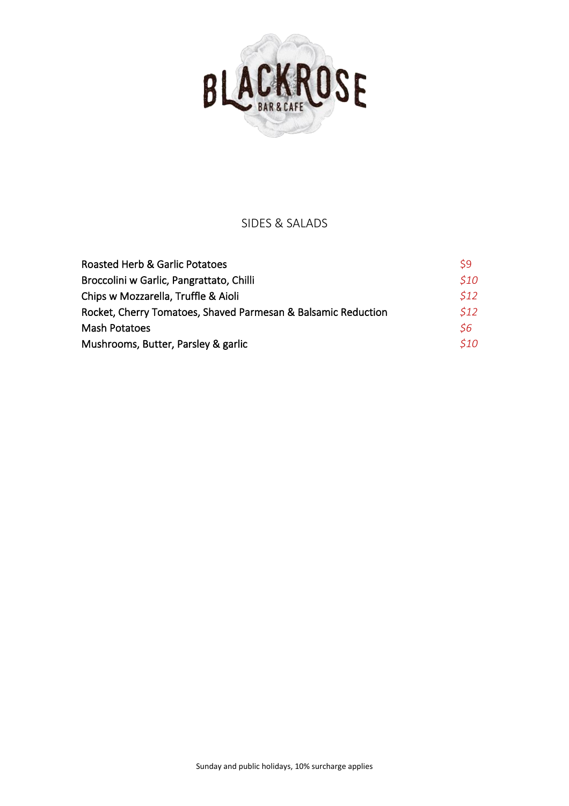

## SIDES & SALADS

| Roasted Herb & Garlic Potatoes                                | \$9               |
|---------------------------------------------------------------|-------------------|
| Broccolini w Garlic, Pangrattato, Chilli                      | <i><b>S10</b></i> |
| Chips w Mozzarella, Truffle & Aioli                           | 512               |
| Rocket, Cherry Tomatoes, Shaved Parmesan & Balsamic Reduction | 512               |
| <b>Mash Potatoes</b>                                          | \$6               |
| Mushrooms, Butter, Parsley & garlic                           | <i>S10</i>        |